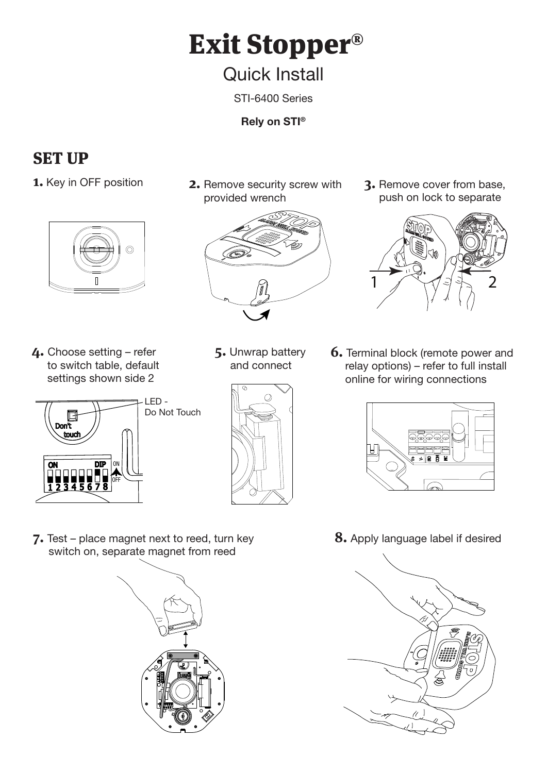# Exit Stopper®

## Quick Install

STI-6400 Series

**Rely on STI®**

### SET UP



**4.** Choose setting – refer to switch table, default settings shown side 2



provided wrench



- **5.** Unwrap battery and connect
	-

**1.** Key in OFF position **2.** Remove security screw with **3.** Remove cover from base, push on lock to separate



**6.** Terminal block (remote power and relay options) – refer to full install online for wiring connections



**8.** Apply language label if desired



**7.** Test – place magnet next to reed, turn key switch on, separate magnet from reed